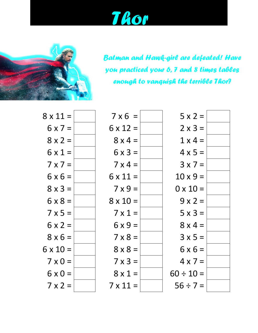*Thor*



*Batman and Hawk-girl are defeated! Have you practiced your 6, 7 and 8 times tables enough to vanquish the terrible Thor?*

| $8 \times 11 =$ | $7 \times 6 =$  | $5 \times 2 =$  |
|-----------------|-----------------|-----------------|
| $6 \times 7 =$  | $6 \times 12 =$ | $2 \times 3 =$  |
| $8 \times 2 =$  | $8 \times 4 =$  | $1 \times 4 =$  |
| $6 \times 1 =$  | $6 \times 3 =$  | $4 \times 5 =$  |
| $7 \times 7 =$  | $7 \times 4 =$  | $3 \times 7 =$  |
| $6 \times 6 =$  | $6 \times 11 =$ | $10 \times 9 =$ |
| $8 \times 3 =$  | $7 \times 9 =$  | $0 \times 10 =$ |
| $6 \times 8 =$  | $8 \times 10 =$ | $9x2=$          |
| $7 \times 5 =$  | $7 \times 1 =$  | $5 \times 3 =$  |
| $6 \times 2 =$  | $6x9=$          | $8 \times 4 =$  |
| $8 \times 6 =$  | $7 \times 8 =$  | $3x5=$          |
| $6 \times 10 =$ | $8 \times 8 =$  | $6 \times 6 =$  |
| $7 \times 0 =$  | $7 \times 3 =$  | $4 \times 7 =$  |
| $6 \times 0 =$  | $8 \times 1 =$  | $60 \div 10 =$  |
| $7 \times 2 =$  | $7 \times 11 =$ | $56 ÷ 7 =$      |